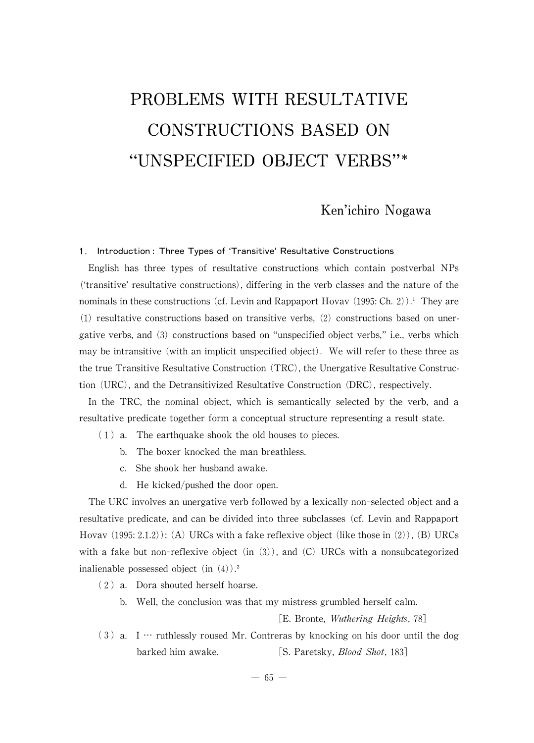# PROBLEMS WITH RESULTATIVE CONSTRUCTIONS BASED ON "UNSPECIFIED OBJECT VERBS"\*

# Ken'ichiro Nogawa

# 1. Introduction: Three Types of 'Transitive' Resultative Constructions

English has three types of resultative constructions which contain postverbal NPs  $('transitive'$  resultative constructions), differing in the verb classes and the nature of the nominals in these constructions (cf. Levin and Rappaport Hovav (1995: Ch. 2)).<sup>1</sup> They are  $(1)$  resultative constructions based on transitive verbs,  $(2)$  constructions based on unergative verbs, and  $(3)$  constructions based on "unspecified object verbs," i.e., verbs which maybe intransitive (with an implicit unspecified object). Wewill refer to these three as the true Transitive Resultative Construction  $(TRC)$ , the Unergative Resultative Construction (URC), and the Detransitivized Resultative Construction (DRC), respectively.

In the TRC, the nominal object, which is semantically selected by the verb, and a resultative predicate together form a conceptual structure representing a result state.

- (1) a. The earthquake shook the old houses to pieces.
	- b. The boxer knocked the man breathless.
	- c. She shook her husband awake.
	- d. He kicked/pushed the door open.

The URC involves an unergative verb followed by a lexically non-selected object and a resultative predicate, and can be divided into three subclasses (cf. Levin and Rappaport Hovav  $(1995:2.1.2)$ : (A) URCs with a fake reflexive object (like those in (2)), (B) URCs with a fake but non-reflexive object (in  $(3)$ ), and (C) URCs with a nonsubcategorized inalienable possessed object (in  $(4)$ ).<sup>2</sup>

- (2) a. Dora shouted herself hoarse.
	- b. Well, the conclusion was that my mistress grumbled herself calm.

[E. Bronte, *Wuthering Heights*, 78]

 $(3)$  a. I … ruthlessly roused Mr. Contreras by knocking on his door until the dog barked him awake. [S. Paretsky, *Blood Shot*, 183]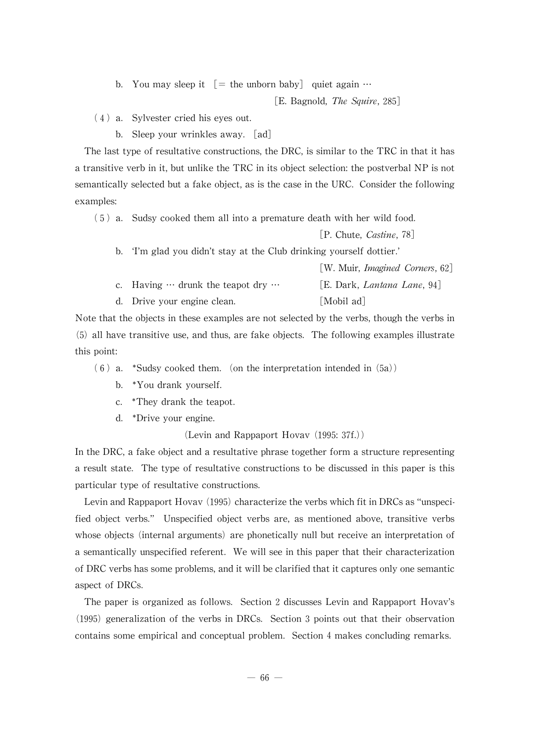b. You may sleep it  $=$  the unborn baby quiet again  $\cdots$ 

[E. Bagnold, *The Squire*, 285]

- (4) a. Sylvester cried his eyes out.
	- b. Sleep your wrinkles away. [ad]

The last type of resultative constructions, the DRC, is similar to the TRC in that it has a transitive verb in it, but unlike the TRC in its object selection: the postverbal NP is not semantically selected but a fake object, as is the case in the URC. Consider the following examples:

(5) a. Sudsy cooked them all into a premature death with her wild food.

[P. Chute, Castine, 78]

 $\begin{bmatrix} W & M_{\text{min}} & L_{\text{max}} & d & C_{\text{max}} & 0 \end{bmatrix}$ 

b. ʻI'm glad you didn't stay at the Club drinking yourself dottier.'

|                                                  | $\ $ W. Widdl, <i>Imagined</i> Corners, 021 |
|--------------------------------------------------|---------------------------------------------|
| c. Having $\cdots$ drunk the teapot dry $\cdots$ | [E. Dark, Lantana Lane, 94]                 |
| d. Drive your engine clean.                      | [Mobil ad]                                  |

Note that the objects in these examples are not selected by the verbs, though the verbs in  $(5)$  all have transitive use, and thus, are fake objects. The following examples illustrate this point:

 $(6)$  a. \*Sudsy cooked them. (on the interpretation intended in  $(5a)$ )

- b. \*You drank yourself.
- c. \*They drank the teapot.
- d. \*Drive your engine.

(Levin and Rappaport Hovav (1995:37f.))

In the DRC, a fake object and a resultative phrase together form a structure representing a result state. The type of resultative constructions to be discussed in this paper is this particular type of resultative constructions.

Levin and Rappaport Hovav  $(1995)$  characterize the verbs which fit in DRCs as "unspecified object verbs." Unspecified object verbs are, as mentioned above, transitive verbs whose objects (internal arguments) are phonetically null but receive an interpretation of a semantically unspecified referent. Wewill see in this paper that their characterization of DRC verbs has some problems, and it will be clarified that it captures only one semantic aspect of DRCs.

The paper is organized as follows. Section 2 discusses Levin and Rappaport Hovav's  $(1995)$  generalization of the verbs in DRCs. Section 3 points out that their observation contains some empirical and conceptual problem. Section 4makes concluding remarks.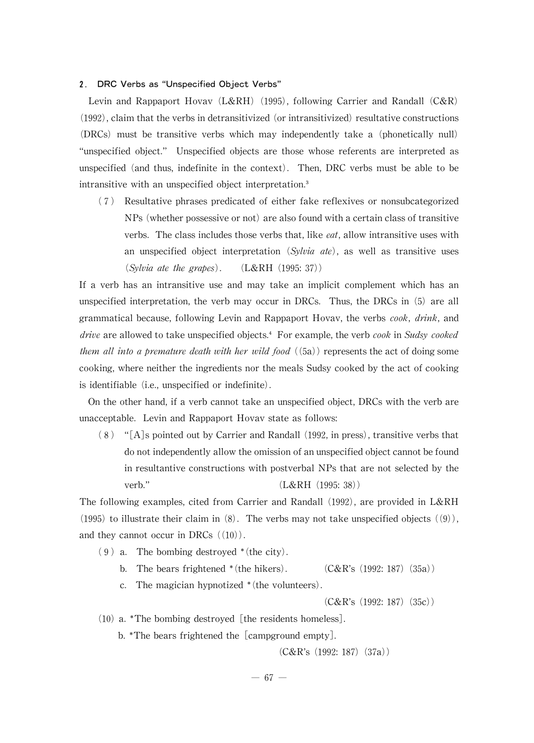#### 2. DRC Verbs as "Unspecified Object Verbs"

Levin and Rappaport Hovav (L&RH) (1995), following Carrier and Randall (C&R)  $(1992)$ , claim that the verbs in detransitivized (or intransitivized) resultative constructions (DRCs) must be transitive verbs which may independently take a (phonetically null) "unspecified object." Unspecified objects are those whose referents are interpreted as unspecified (and thus, indefinite in the context). Then, DRC verbs must be able to be intransitive with an unspecified object interpretation.<sup>3</sup>

(7) Resultative phrases predicated of either fake reflexives or nonsubcategorized NPs (whether possessive or not) are also found with a certain class of transitive verbs. The class includes those verbs that, like  $e$ at, allow intransitive uses with an unspecified object interpretation (Sylvia ate), as well as transitive uses  $(Sylvia$  ate the grapes).  $(L&RH (1995:37))$ 

If a verb has an intransitive use and may take an implicit complement which has an unspecified interpretation, the verb may occur in DRCs. Thus, the DRCs in (5) are all grammatical because, following Levin and Rappaport Hovav, the verbs cook, drink, and *drive* are allowed to take unspecified objects. $\frac{4}{5}$  For example, the verb *cook* in Sudsy *cooked* them all into a premature death with her wild food  $(5a)$  represents the act of doing some cooking, where neither the ingredients nor the meals Sudsy cooked by the act of cooking is identifiable (i.e., unspecified or indefinite).

On the other hand, if a verb cannot take an unspecified object, DRCs with the verb are unacceptable. Levin and Rappaport Hovav state as follows:

 $(8)$  "[A]s pointed out by Carrier and Randall (1992, in press), transitive verbs that do not independently allow the omission of an unspecified object cannot be found in resultantive constructions with postverbal NPs that are not selected by the verb." (L&RH (1995: 38))

The following examples, cited from Carrier and Randall (1992), are provided in L&RH (1995) to illustrate their claim in  $(8)$ . The verbs may not take unspecified objects  $((9))$ , and they cannot occur in DRCs  $((10))$ .

 $(9)$  a. The bombing destroyed  $*($ the city).

- b. The bears frightened  $*($ the hikers). (C&R's (1992: 187)(35a))
- c. The magician hypnotized  $*($ the volunteers $).$

 $(C&R\text{'s}(1992:187)(35c))$ 

- $(10)$  a. \*The bombing destroyed [the residents homeless].
	- b.  $*$ The bears frightened the [campground empty].

 $(C&R\text{'s}(1992:187)(37a))$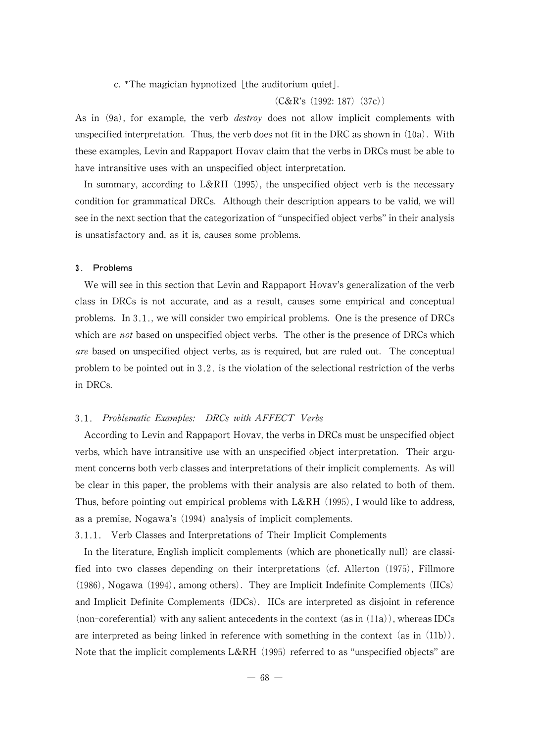c. \*The magician hypnotized [the auditorium quiet].

 $(C&R\text{'s}(1992:187)(37c))$ 

As in  $(9a)$ , for example, the verb *destroy* does not allow implicit complements with unspecified interpretation. Thus, the verb does not fit in the DRC as shown in  $(10a)$ . With these examples, Levin and Rappaport Hovav claim that the verbs in DRCs must be able to have intransitive uses with an unspecified object interpretation.

In summary, according to L&RH (1995), the unspecified object verb is the necessary condition for grammatical DRCs. Although their description appears to be valid, we will see in the next section that the categorization of "unspecified object verbs" in their analysis is unsatisfactory and, as it is, causes some problems.

#### 3. Problems

We will see in this section that Levin and Rappaport Hovav's generalization of the verb class in DRCs is not accurate, and as a result, causes some empirical and conceptual problems. In 3.1., we will consider two empirical problems. One is the presence of DRCs which are *not* based on unspecified object verbs. The other is the presence of DRCs which are based on unspecified object verbs, as is required, but are ruled out. The conceptual problem to be pointed out in  $3.2$ . is the violation of the selectional restriction of the verbs in DRCs.

### 3.1. Problematic Examples: DRCs with AFFECT Verbs

According to Levin and Rappaport Hovav, the verbs in DRCs must be unspecified object verbs, which have intransitive use with an unspecified object interpretation. Their argument concerns both verb classes and interpretations of their implicit complements. As will be clear in this paper, the problems with their analysis are also related to both of them. Thus, before pointing out empirical problems with  $L\&RH$  (1995), I would like to address, as a premise, Nogawa's (1994) analysis of implicit complements.

3.1.1. Verb Classes and Interpretations of Their Implicit Complements

In the literature, English implicit complements (which are phonetically null) are classified into two classes depending on their interpretations (cf. Allerton (1975), Fillmore  $(1986)$ , Nogawa  $(1994)$ , among others). They are Implicit Indefinite Complements  $(IICs)$ and Implicit Definite Complements (IDCs). IICs are interpreted as disjoint in reference (non-coreferential) with any salient antecedents in the context (as in  $(11a)$ ), whereas IDCs are interpreted as being linked in reference with something in the context (as in (11b)). Note that the implicit complements L&RH  $(1995)$  referred to as "unspecified objects" are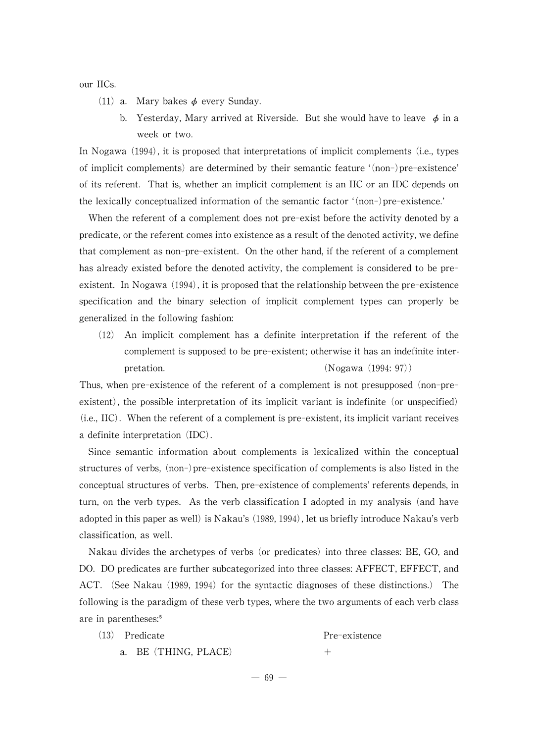our IICs.

- (11) a. Mary bakes  $\phi$  every Sunday.
	- b. Yesterday, Mary arrived at Riverside. But she would have to leave  $\phi$  in a week or two.

In Nogawa (1994), it is proposed that interpretations of implicit complements (i.e., types of implicit complements) are determined by their semantic feature '(non-)pre-existence' of its referent. That is,whether an implicit complement is an IIC or an IDC depends on the lexically conceptualized information of the semantic factor ʻ(non-)pre-existence.'

When the referent of a complement does not pre-exist before the activity denoted by a predicate, or the referent comes into existence as a result of the denoted activity, we define that complement as non-pre-existent. On the other hand, if the referent of a complement has already existed before the denoted activity, the complement is considered to be preexistent. In Nogawa  $(1994)$ , it is proposed that the relationship between the pre-existence specification and the binary selection of implicit complement types can properly be generalized in the following fashion:

(12) An implicit complement has a definite interpretation if the referent of the complement is supposed to be pre-existent; otherwise it has an indefinite interpretation. (Nogawa (1994: 97)

Thus, when pre-existence of the referent of a complement is not presupposed (non-preexistent), the possible interpretation of its implicit variant is indefinite (or unspecified)  $(i.e., IIC)$ . When the referent of a complement is pre-existent, its implicit variant receives a definite interpretation (IDC).

Since semantic information about complements is lexicalized within the conceptual structures of verbs, (non-)pre-existence specification of complements is also listed in the conceptual structures of verbs. Then, pre-existence of complements' referents depends, in turn, on the verb types. As the verb classification I adopted in my analysis (and have adopted in this paper as well) is Nakau's (1989, 1994), let us briefly introduce Nakau's verb classification,as well.

Nakau divides the archetypes of verbs (or predicates) into three classes: BE, GO, and DO. DO predicates are further subcategorized into three classes: AFFECT, EFFECT, and ACT. (See Nakau (1989, 1994) for the syntactic diagnoses of these distinctions.) The following is the paradigm of these verb types, where the two arguments of each verb class are in parentheses:<sup>5</sup>

| $(13)$ Predicate     | Pre-existence |
|----------------------|---------------|
| a. BE (THING, PLACE) |               |

 $- 69 -$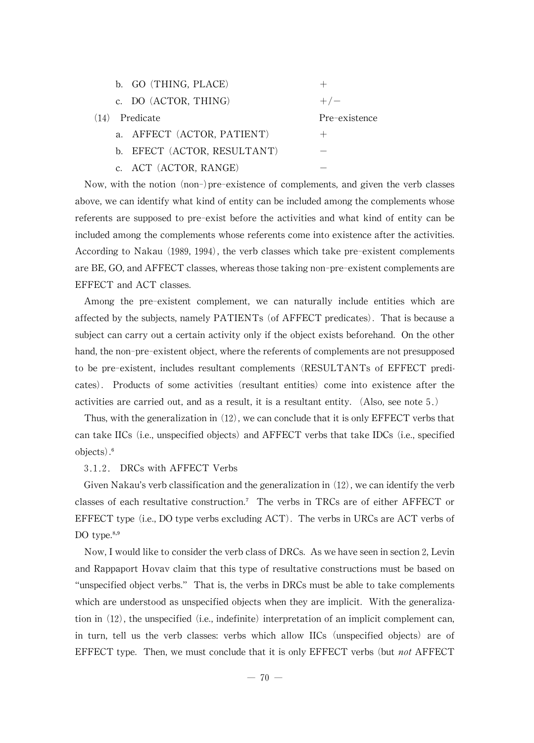|      | b. GO (THING, PLACE)        |               |
|------|-----------------------------|---------------|
|      | c. DO (ACTOR, THING)        | $+/-$         |
| (14) | Predicate                   | Pre-existence |
|      | a. AFFECT (ACTOR, PATIENT)  | $^+$          |
|      | b. EFECT (ACTOR, RESULTANT) |               |
|      | c. ACT (ACTOR, RANGE)       |               |

Now,with the notion (non-)pre-existence of complements, and given the verb classes above, we can identify what kind of entity can be included among the complements whose referents are supposed to pre-exist before the activities and what kind of entity can be included among the complements whose referents come into existence after the activities. According to Nakau (1989, 1994), the verb classes which take pre-existent complements are BE, GO, and AFFECT classes, whereas those taking non-pre-existent complements are EFFECT and ACT classes.

Among the pre-existent complement, we can naturally include entities which are affected by the subjects, namely PATIENTs (of AFFECT predicates). That is because a subject can carry out a certain activity only if the object exists beforehand. On the other hand, the non-pre-existent object, where the referents of complements are not presupposed to be pre-existent, includes resultant complements (RESULTANTs of EFFECT predicates). Products of some activities (resultant entities) come into existence after the activities are carried out, and as a result, it is a resultant entity. (Also, see note  $5.$ )

Thus, with the generalization in  $(12)$ , we can conclude that it is only EFFECT verbs that can take IICs (i.e., unspecified objects) and AFFECT verbs that take IDCs (i.e., specified objects).<sup>6</sup>

# 3.1.2. DRCs with AFFECT Verbs

Given Nakau's verb classification and the generalization in  $(12)$ , we can identify the verb classes of each resultative construction.<sup>7</sup> The verbs in TRCs are of either AFFECT or EFFECT type (i.e., DO type verbs excluding  $ACT$ ). The verbs in URCs are  $ACT$  verbs of DO type. $8,9$ 

Now, I would like to consider the verb class of DRCs. As we have seen in section 2, Levin and Rappaport Hovav claim that this type of resultative constructions must be based on "unspecified object verbs." That is, the verbs in DRCs must be able to take complements which are understood as unspecified objects when they are implicit. With the generalization in  $(12)$ , the unspecified (i.e., indefinite) interpretation of an implicit complement can, in turn, tell us the verb classes: verbs which allow IICs (unspecified objects) are of EFFECT type. Then, we must conclude that it is only EFFECT verbs (but not AFFECT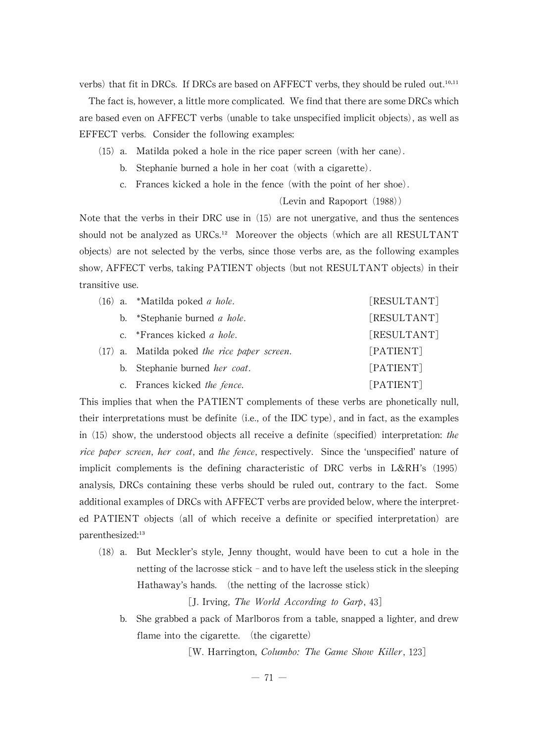verbs) that fit in DRCs. If DRCs are based on AFFECT verbs, they should be ruled out.<sup>10,11</sup>

The fact is, however, a little more complicated. We find that there are some DRCs which are based even on AFFECT verbs (unable to take unspecified implicit objects), as well as EFFECT verbs. Consider the following examples:

- (15) a. Matilda poked a hole in the rice paper screen (with her cane).
	- b. Stephanie burned a hole in her coat (with a cigarette).
	- c. Frances kicked a hole in the fence (with the point of her shoe).

(Levin and Rapoport (1988))

Note that the verbs in their DRC use in  $(15)$  are not unergative, and thus the sentences should not be analyzed as  $URCs<sup>12</sup>$  Moreover the objects (which are all RESULTANT objects) are not selected by the verbs, since those verbs are, as the following examples show, AFFECT verbs, taking PATIENT objects (but not RESULTANT objects) in their transitive use.

|  | $(16)$ a. *Matilda poked <i>a hole</i> .       | [RESULTANT] |
|--|------------------------------------------------|-------------|
|  | b. *Stephanie burned <i>a hole</i> .           | [RESULTANT] |
|  | c. *Frances kicked <i>a hole</i> .             | [RESULTANT] |
|  | $(17)$ a. Matilda poked the rice paper screen. | [PATIENT]   |
|  | b. Stephanie burned <i>her coat</i> .          | [PATIENT]   |
|  | c. Frances kicked the fence.                   | [PATIENT]   |

This implies that when the PATIENT complements of these verbs are phonetically null, their interpretations must be definite (i.e., of the IDC type), and in fact, as the examples in  $(15)$  show, the understood objects all receive a definite (specified) interpretation: the rice paper screen, her coat, and the fence, respectively. Since the 'unspecified' nature of implicit complements is the defining characteristic of DRC verbs in L&RH's (1995) analysis, DRCs containing these verbs should be ruled out, contrary to the fact. Some additional examples of DRCs with AFFECT verbs are provided below, where the interpreted PATIENT objects (all of which receive a definite or specified interpretation) are parenthesized:<sup>13</sup>

(18) a. But Meckler's style, Jenny thought, would have been to cut a hole in the netting of the lacrosse stick  $-$  and to have left the useless stick in the sleeping Hathaway's hands. (the netting of the lacrosse stick)

[J. Irving, The World According to Garp, 43]

b. She grabbed a pack of Marlboros from a table, snapped a lighter, and drew flame into the cigarette. (the cigarette)

[W. Harrington, Columbo: The Game Show Killer, 123]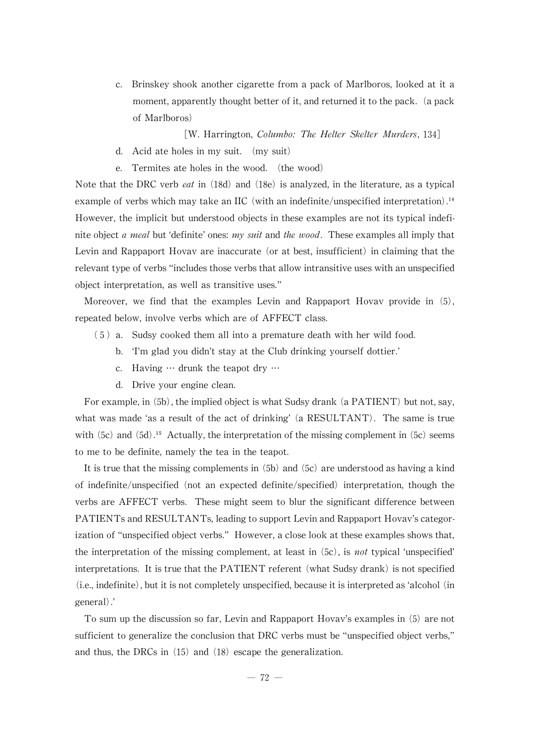c. Brinskey shook another cigarette from a pack of Marlboros, looked at it a moment, apparently thought better of it, and returned it to the pack. (a pack of Marlboros)

[W. Harrington, Columbo: The Helter Skelter Murders, 134]

- d. Acid ate holes in my suit. (my suit)
- e. Termites ate holes in the wood. (the wood)

Note that the DRC verb *eat* in  $(18d)$  and  $(18e)$  is analyzed, in the literature, as a typical example of verbs which may take an IIC (with an indefinite/unspecified interpretation). $<sup>14</sup>$ </sup> However, the implicit but understood objects in these examples are not its typical indefinite object a meal but 'definite' ones: my suit and the wood. These examples all imply that Levin and Rappaport Hovav are inaccurate (or at best, insufficient) in claiming that the relevant type of verbs "includes those verbs that allow intransitive uses with an unspecified object interpretation, as well as transitive uses."

Moreover, we find that the examples Levin and Rappaport Hovav provide in (5), repeated below, involve verbs which are of AFFECT class.

- (5) a. Sudsy cooked them all into a premature death with her wild food.
	- b. ʻI'm glad you didn't stay at the Club drinking yourself dottier.'
	- c. Having … drunk the teapot dry …
	- d. Drive your engine clean.

For example, in (5b), the implied object is what Sudsy drank (a PATIENT) but not, say, what was made 'as a result of the act of drinking' (a RESULTANT). The same is true with  $(5c)$  and  $(5d)$ .<sup>15</sup> Actually, the interpretation of the missing complement in  $(5c)$  seems to me to be definite, namely the tea in the teapot.

It is true that the missing complements in  $(5b)$  and  $(5c)$  are understood as having a kind of indefinite/unspecified (not an expected definite/specified) interpretation, though the verbs are AFFECT verbs. These might seem to blur the significant difference between PATIENTs and RESULTANTs, leading to support Levin and Rappaport Hovav's categorization of "unspecified object verbs." However, a close look at these examples shows that, the interpretation of the missing complement, at least in  $(5c)$ , is *not* typical 'unspecified' interpretations. It is true that the PATIENT referent (what Sudsy drank) is not specified (i.e., indefinite), but it is not completely unspecified, because it is interpreted as 'alcohol (in general).'

To sum up the discussion so far, Levin and Rappaport Hovav's examples in  $(5)$  are not sufficient to generalize the conclusion that DRC verbs must be"unspecified object verbs," and thus, the DRCs in  $(15)$  and  $(18)$  escape the generalization.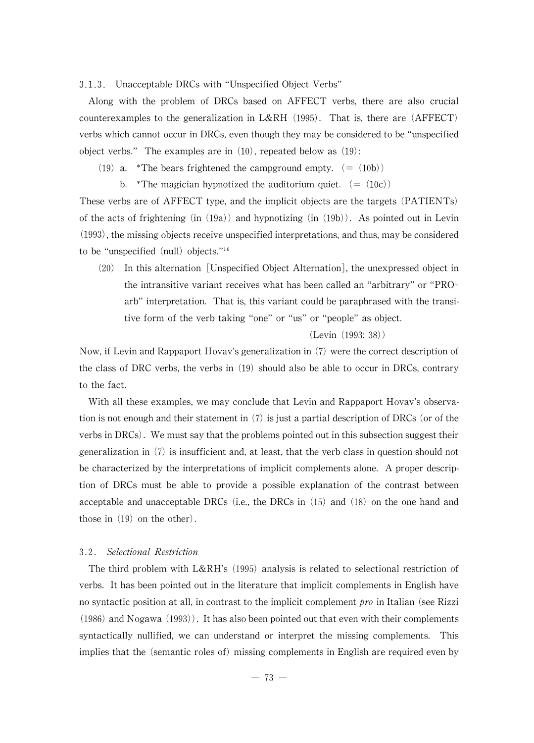3.1.3. Unacceptable DRCs with "Unspecified Object Verbs"

Along with the problem of DRCs based on AFFECT verbs, there are also crucial counterexamples to the generalization in L&RH  $(1995)$ . That is, there are  $(AFFECT)$ verbs which cannot occur in DRCs, even though they may be considered to be "unspecified" object verbs." The examples are in  $(10)$ , repeated below as  $(19)$ :

- (19) a. \*The bears frightened the campground empty.  $(=(10b))$ 
	- b. \*The magician hypnotized the auditorium quiet.  $(=(10c))$

These verbs are of AFFECT type, and the implicit objects are the targets (PATIENTs) of the acts of frightening (in  $(19a)$ ) and hypnotizing (in  $(19b)$ ). As pointed out in Levin  $(1993)$ , the missing objects receive unspecified interpretations, and thus, may be considered to be "unspecified  $(null)$  objects."<sup>16</sup>

 $(20)$  In this alternation [Unspecified Object Alternation], the unexpressed object in the intransitive variant receives what has been called an "arbitrary"or "PROarb" interpretation. That is, this variant could be paraphrased with the transitive form of the verb taking "one" or "us" or "people" as object.

(Levin (1993:38))

Now, if Levin and Rappaport Hovav's generalization in  $(7)$  were the correct description of the class of DRC verbs, the verbs in  $(19)$  should also be able to occur in DRCs, contrary to the fact.

With all these examples, we may conclude that Levin and Rappaport Hovav's observation is not enough and their statement in  $(7)$  is just a partial description of DRCs (or of the verbs in DRCs). We must say that the problems pointed out in this subsection suggest their generalization in  $(7)$  is insufficient and, at least, that the verb class in question should not be characterized by the interpretations of implicit complements alone. A proper description of DRCs must be able to provide a possible explanation of the contrast between acceptable and unacceptable DRCs (i.e., the DRCs in  $(15)$  and  $(18)$  on the one hand and those in  $(19)$  on the other).

# 3.2. Selectional Restriction

The third problem with  $L\&RH's$  (1995) analysis is related to selectional restriction of verbs. It has been pointed out in the literature that implicit complements in English have no syntactic position at all, in contrast to the implicit complement  $pro$  in Italian (see Rizzi  $(1986)$  and Nogawa  $(1993)$ . It has also been pointed out that even with their complements syntactically nullified, we can understand or interpret the missing complements. This implies that the (semantic roles of) missing complements in English are required even by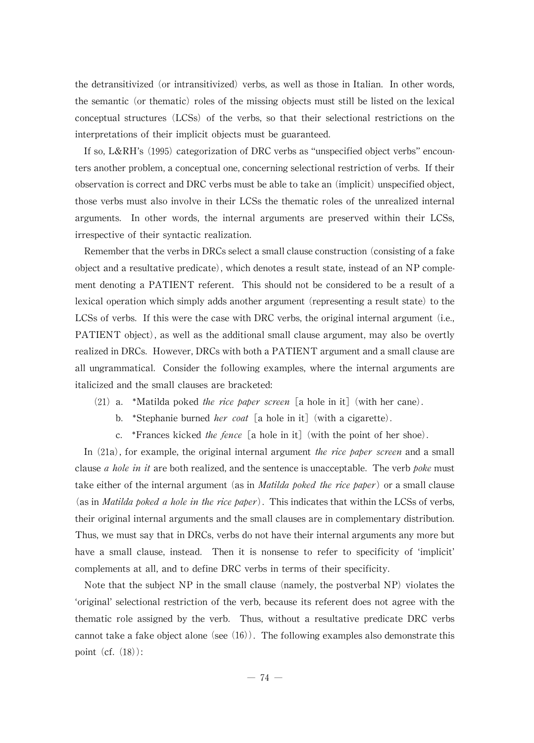the detransitivized (or intransitivized) verbs, as well as those in Italian. In other words, the semantic (or thematic) roles of the missing objects must still be listed on the lexical conceptual structures (LCSs) of the verbs, so that their selectional restrictions on the interpretations of their implicit objects must be guaranteed.

If so, L&RH's  $(1995)$  categorization of DRC verbs as "unspecified object verbs" encounters another problem, a conceptual one, concerning selectional restriction of verbs. If their observation is correct and DRC verbs must be able to take an (implicit) unspecified object, those verbs must also involve in their LCSs the thematic roles of the unrealized internal arguments. In other words, the internal arguments are preserved within their LCSs, irrespective of their syntactic realization.

Remember that the verbs in DRCs select a small clause construction (consisting of a fake object and a resultative predicate), which denotes a result state, instead of an  $NP$  complement denoting a PATIENT referent. This should not be considered to be a result of a lexical operation which simply adds another argument (representing a result state) to the LCSs of verbs. If this were the case with DRC verbs, the original internal argument (i.e., PATIENT object), as well as the additional small clause argument, may also be overtly realized in DRCs. However, DRCs with both a PATIENT argument and a small clause are all ungrammatical. Consider the following examples, where the internal arguments are italicized and the small clauses are bracketed:

- (21) a. \*Matilda poked the rice paper screen [a hole in it] (with her cane).
	- b. \*Stephanie burned *her coat* [a hole in it] (with a cigarette).
	- c. \*Frances kicked the fence [a hole in it] (with the point of her shoe).

In  $(21a)$ , for example, the original internal argument the rice paper screen and a small clause *a hole in it* are both realized, and the sentence is unacceptable. The verb *poke* must take either of the internal argument (as in *Matilda poked the rice paper*) or a small clause (as in *Matilda poked a hole in the rice paper*). This indicates that within the LCSs of verbs, their original internal arguments and the small clauses are in complementary distribution. Thus, we must say that in DRCs, verbs do not have their internal arguments any more but have a small clause, instead. Then it is nonsense to refer to specificity of ʻimplicit' complements at all, and to define DRC verbs in terms of their specificity.

Note that the subject  $NP$  in the small clause (namely, the postverbal  $NP$ ) violates the ʻoriginal'selectional restriction of the verb, because its referent does not agree with the thematic role assigned by the verb. Thus, without a resultative predicate DRC verbs cannot take a fake object alone (see  $(16)$ ). The following examples also demonstrate this point (cf. (18)):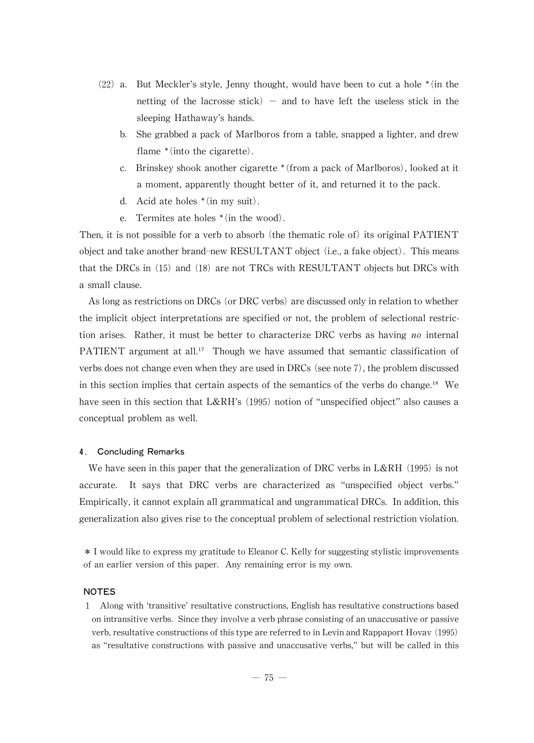- $(22)$  a. But Meckler's style, Jenny thought, would have been to cut a hole  $*(in$  the netting of the lacrosse stick) - and to have left the useless stick in the sleeping Hathaway's hands.
	- b. She grabbed a pack of Marlboros from a table, snapped a lighter, and drew flame  $*(into the cigarette)$ .
	- c. Brinskey shook another cigarette \* (from a pack of Marlboros), looked at it a moment, apparently thought better of it, and returned it to the pack.
	- d. Acid ate holes  $*(in my suit)$ .
	- e. Termites ate holes  $*(in the wood)$ .

Then, it is not possible for a verb to absorb (the thematic role of) its original PATIENT object and take another brand-new RESULTANT object (i.e., a fake object). This means that the DRCs in  $(15)$  and  $(18)$  are not TRCs with RESULTANT objects but DRCs with a small clause.

As long as restrictions on DRCs (or DRC verbs) are discussed only in relation to whether the implicit object interpretations are specified or not, the problem of selectional restriction arises. Rather, it must be better to characterize DRC verbs as having no internal PATIENT argument at all.<sup>17</sup> Though we have assumed that semantic classification of verbs does not change even when they are used in DRCs (see note 7), the problem discussed in this section implies that certain aspects of the semantics of the verbs do change.<sup>18</sup> We have seen in this section that  $L\&RH's$  (1995) notion of "unspecified object" also causes a conceptual problem as well.

#### 4. Concluding Remarks

We have seen in this paper that the generalization of DRC verbs in L&RH  $(1995)$  is not accurate. It says that DRC verbs are characterized as "unspecified object verbs." Empirically, it cannot explain all grammatical and ungrammatical DRCs. In addition, this generalization also gives rise to the conceptual problem of selectional restriction violation.

\* I would like to express my gratitude to Eleanor C. Kelly for suggesting stylistic improvements of an earlier version of this paper. Any remaining error is my own.

# NOTES

1 Along with ʻtransitive'resultativeconstructions,English has resultativeconstructions based on intransitive verbs. Since they involve a verb phrase consisting of an unaccusative or passive verb, resultative constructions of this type are referred to in Levin and Rappaport Hovav (1995) as "resultative constructions with passive and unaccusative verbs,"but will be called in this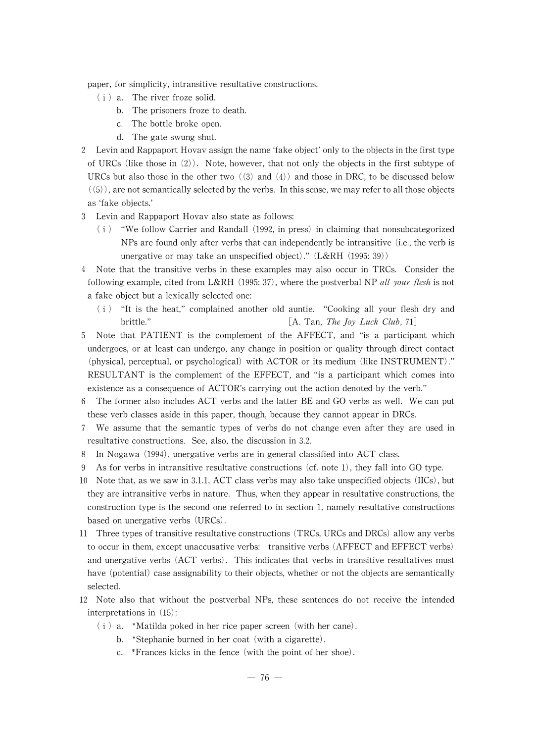paper, for simplicity, intransitive resultative constructions.

- (ⅰ) a. The river froze solid.
	- b. The prisoners froze to death.
	- c. The bottle broke open.
	- d. The gate swung shut.
- 2 Levin and Rappaport Hovav assign thenameʻfakeobject'onlyto theobjectsinthefirst type of URCs (like those in  $(2)$ ). Note, however, that not only the objects in the first subtype of URCs but also those in the other two  $((3)$  and  $(4))$  and those in DRC, to be discussed below  $((5))$ , are not semantically selected by the verbs. In this sense, we may refer to all those objects as ʻfake objects.'
- 3 Levin and Rappaport Hovav also state as follows:
	- $(i)$  "We follow Carrier and Randall (1992, in press) in claiming that nonsubcategorized NPs are found only after verbs that can independently be intransitive (i.e., the verb is unergative or may take an unspecified object)." (L&RH (1995: 39))
- 4 Note that the transitive verbs in these examples may also occur in TRCs. Consider the following example, cited from L&RH (1995: 37), where the postverbal NP all your flesh is not a fake object but a lexically selected one:
	- (ⅰ) "It is the heat,"complained another old auntie. "Cooking all your flesh dry and brittle."  $\begin{bmatrix} A. \text{Tan}, \text{The Joy} \text{Luck Club}, \text{71} \end{bmatrix}$
- 5 Note that PATIENT is the complement of the AFFECT, and "is a participant which undergoes, or at least can undergo, any change in position or quality through direct contact (physical, perceptual, or psychological) with ACTOR or its medium (like INSTRUMENT)." RESULTANT is the complement of the EFFECT, and "is a participant which comes into existence as a consequence of ACTOR's carrying out the action denoted by the verb."
- 6 The former also includes ACT verbs and the latter BE and GO verbs as well. We can put these verb classes aside in this paper, though, because they cannot appear in DRCs.
- We assume that the semantic types of verbs do not change even after they are used in resultative constructions. See, also, the discussion in 3.2.
- 8 In Nogawa (1994), unergative verbs are in general classified into ACT class.
- 9 As for verbs in intransitive resultative constructions  $(cf. \text{ note } 1)$ , they fall into GO type.
- 10 Note that, as we saw in 3.1.1, ACT class verbs may also take unspecified objects (IICs), but they are intransitive verbs in nature. Thus, when they appear in resultative constructions, the construction type is the second one referred to in section 1, namely resultative constructions based on unergative verbs (URCs).
- 11 Three types of transitive resultative constructions (TRCs, URCs and DRCs) allow any verbs to occur in them, except unaccusative verbs: transitive verbs (AFFECT and EFFECT verbs) and unergative verbs (ACT verbs). This indicates that verbs in transitive resultatives must have (potential) case assignability to their objects, whether or not the objects are semantically selected.
- 12 Note also that without the postverbal NPs, these sentences do not receive the intended interpretations in (15):
	- $(i)$  a. \*Matilda poked in her rice paper screen (with her cane).
		- b. \*Stephanie burned in her coat (with a cigarette).
		- c. 웬Frances kicks in the fence (with the point of her shoe).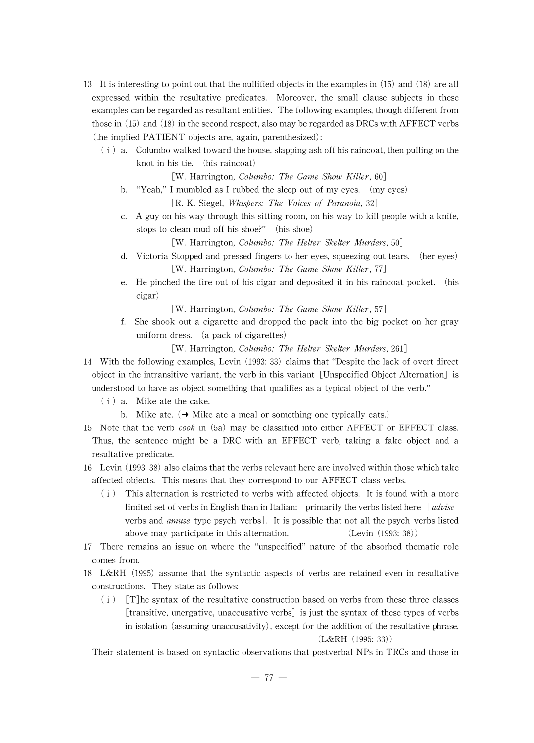- 13 It is interesting to point out that the nullified objects in the examples in  $(15)$  and  $(18)$  are all expressed within the resultative predicates. Moreover, the small clause subjects in these examples can be regarded as resultant entities. The following examples, though different from those in  $(15)$  and  $(18)$  in the second respect, also may be regarded as DRCs with AFFECT verbs  $(the implied PATHENT objects are, again, parenthesized):$ 
	- $(i)$  a. Columbo walked toward the house, slapping ash off his raincoat, then pulling on the knot in his tie. (his raincoat)

[W. Harrington, *Columbo: The Game Show Killer*,  $60$ ]

- b. "Yeah," I mumbled as I rubbed the sleep out of my eyes.  $(my eys)$ [R.K. Siegel, *Whispers: The Voices of Paranoia*, 32]
- c. A guy on his way through this sitting room, on his way to kill people with a knife, stops to clean mud off his shoe?" (his shoe)

[W. Harrington, Columbo: The Helter Skelter Murders, 50]

- d. Victoria Stopped and pressed fingers to her eyes, squeezing out tears. (her eyes) [W. Harrington, Columbo: The Game Show Killer, 77]
- e. He pinched the fire out of his cigar and deposited it in his raincoat pocket. (his cigar)
	- [W. Harrington, *Columbo: The Game Show Killer*, 57]
- f. She shook out a cigarette and dropped the pack into the big pocket on her gray uniform dress. (a pack of cigarettes)

[W. Harrington, *Columbo: The Helter Skelter Murders*, 261]

- 14 With the following examples, Levin (1993: 33) claims that "Despite the lack of overt direct object in the intransitive variant, the verb in this variant [Unspecified Object Alternation] is understood to have as object something that qualifies as a typical object of the verb."
	- (ⅰ) a. Mike ate the cake.
		- b. Mike ate.  $\rightarrow$  Mike ate a meal or something one typically eats.)
- 15 Note that the verb *cook* in (5a) may be classified into either AFFECT or EFFECT class. Thus, the sentence might be a DRC with an EFFECT verb, taking a fake object and a resultative predicate.
- 16 Levin (1993: 38) also claims that the verbs relevant here are involved within those which take affected objects. This means that they correspond to our AFFECT class verbs.
	- (ⅰ) This alternation is restricted to verbs with affected objects. It is found with a more limited set of verbs in Englishthan in Italian: primarily the verbs listed here  $[advise$ verbs and amuse-type psych-verbs]. It is possible that not all the psych-verbs listed above may participate in this alternation. (Levin (1993: 38))
- 17 There remains an issue on where the "unspecified"nature of the absorbed thematic role comes from.
- 18 L&RH (1995) assume that the syntactic aspects of verbs are retained even in resultative constructions. They state as follows:
	- $(i)$  [T]he syntax of the resultative construction based on verbs from these three classes [transitive, unergative, unaccusative verbs] is just the syntax of these types of verbs in isolation (assuming unaccusativity), except for the addition of the resultative phrase. (L&RH (1995:33))

Their statement is based on syntactic observations that postverbal NPs in TRCs and thosein